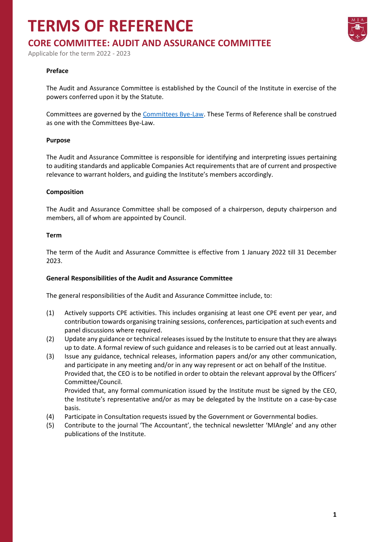## **TERMS OF REFERENCE**



## **CORE COMMITTEE: AUDIT AND ASSURANCE COMMITTEE**

Applicable for the term 2022 - 2023

#### **Preface**

The Audit and Assurance Committee is established by the Council of the Institute in exercise of the powers conferred upon it by the Statute.

Committees are governed by the [Committees Bye-Law.](https://www.miamalta.org/Statute-and-Bye-Laws) These Terms of Reference shall be construed as one with the Committees Bye-Law.

#### **Purpose**

The Audit and Assurance Committee is responsible for identifying and interpreting issues pertaining to auditing standards and applicable Companies Act requirements that are of current and prospective relevance to warrant holders, and guiding the Institute's members accordingly.

#### **Composition**

The Audit and Assurance Committee shall be composed of a chairperson, deputy chairperson and members, all of whom are appointed by Council.

#### **Term**

The term of the Audit and Assurance Committee is effective from 1 January 2022 till 31 December 2023.

#### **General Responsibilities of the Audit and Assurance Committee**

The general responsibilities of the Audit and Assurance Committee include, to:

- (1) Actively supports CPE activities. This includes organising at least one CPE event per year, and contribution towards organising training sessions, conferences, participation at such events and panel discussions where required.
- (2) Update any guidance or technical releases issued by the Institute to ensure that they are always up to date. A formal review of such guidance and releases is to be carried out at least annually.
- (3) Issue any guidance, technical releases, information papers and/or any other communication, and participate in any meeting and/or in any way represent or act on behalf of the Institue. Provided that, the CEO is to be notified in order to obtain the relevant approval by the Officers' Committee/Council. Provided that, any formal communication issued by the Institute must be signed by the CEO,
	- the Institute's representative and/or as may be delegated by the Institute on a case-by-case basis.
- (4) Participate in Consultation requests issued by the Government or Governmental bodies.
- (5) Contribute to the journal 'The Accountant', the technical newsletter 'MIAngle' and any other publications of the Institute.